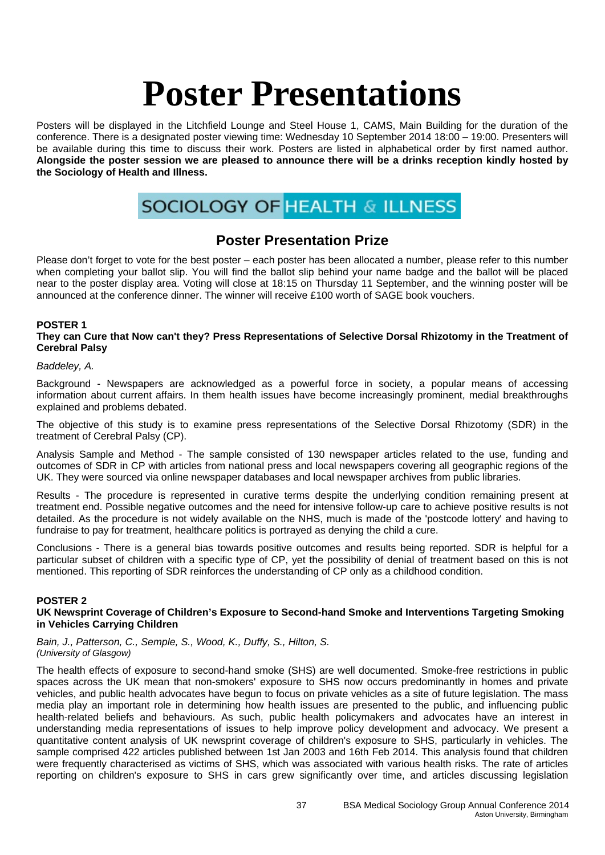Posters will be displayed in the Litchfield Lounge and Steel House 1, CAMS, Main Building for the duration of the conference. There is a designated poster viewing time: Wednesday 10 September 2014 18:00 – 19:00. Presenters will be available during this time to discuss their work. Posters are listed in alphabetical order by first named author. **Alongside the poster session we are pleased to announce there will be a drinks reception kindly hosted by the Sociology of Health and Illness.** 

# **SOCIOLOGY OF HEALTH & ILLNESS**

## **Poster Presentation Prize**

Please don't forget to vote for the best poster – each poster has been allocated a number, please refer to this number when completing your ballot slip. You will find the ballot slip behind your name badge and the ballot will be placed near to the poster display area. Voting will close at 18:15 on Thursday 11 September, and the winning poster will be announced at the conference dinner. The winner will receive £100 worth of SAGE book vouchers.

#### **POSTER 1**

**They can Cure that Now can't they? Press Representations of Selective Dorsal Rhizotomy in the Treatment of Cerebral Palsy** 

#### *Baddeley, A.*

Background - Newspapers are acknowledged as a powerful force in society, a popular means of accessing information about current affairs. In them health issues have become increasingly prominent, medial breakthroughs explained and problems debated.

The objective of this study is to examine press representations of the Selective Dorsal Rhizotomy (SDR) in the treatment of Cerebral Palsy (CP).

Analysis Sample and Method - The sample consisted of 130 newspaper articles related to the use, funding and outcomes of SDR in CP with articles from national press and local newspapers covering all geographic regions of the UK. They were sourced via online newspaper databases and local newspaper archives from public libraries.

Results - The procedure is represented in curative terms despite the underlying condition remaining present at treatment end. Possible negative outcomes and the need for intensive follow-up care to achieve positive results is not detailed. As the procedure is not widely available on the NHS, much is made of the 'postcode lottery' and having to fundraise to pay for treatment, healthcare politics is portrayed as denying the child a cure.

Conclusions - There is a general bias towards positive outcomes and results being reported. SDR is helpful for a particular subset of children with a specific type of CP, yet the possibility of denial of treatment based on this is not mentioned. This reporting of SDR reinforces the understanding of CP only as a childhood condition.

#### **POSTER 2**

#### **UK Newsprint Coverage of Children's Exposure to Second-hand Smoke and Interventions Targeting Smoking in Vehicles Carrying Children**

*Bain, J., Patterson, C., Semple, S., Wood, K., Duffy, S., Hilton, S. (University of Glasgow)* 

The health effects of exposure to second-hand smoke (SHS) are well documented. Smoke-free restrictions in public spaces across the UK mean that non-smokers' exposure to SHS now occurs predominantly in homes and private vehicles, and public health advocates have begun to focus on private vehicles as a site of future legislation. The mass media play an important role in determining how health issues are presented to the public, and influencing public health-related beliefs and behaviours. As such, public health policymakers and advocates have an interest in understanding media representations of issues to help improve policy development and advocacy. We present a quantitative content analysis of UK newsprint coverage of children's exposure to SHS, particularly in vehicles. The sample comprised 422 articles published between 1st Jan 2003 and 16th Feb 2014. This analysis found that children were frequently characterised as victims of SHS, which was associated with various health risks. The rate of articles reporting on children's exposure to SHS in cars grew significantly over time, and articles discussing legislation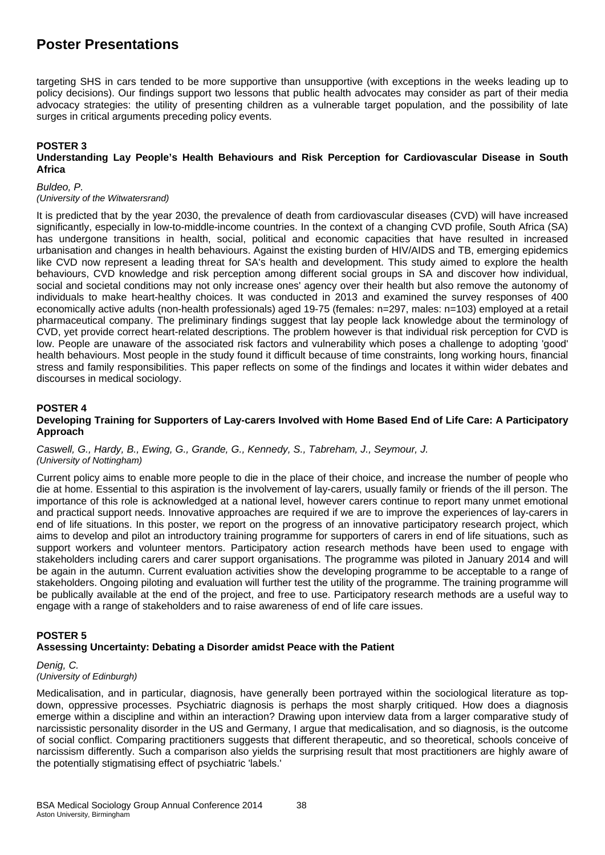targeting SHS in cars tended to be more supportive than unsupportive (with exceptions in the weeks leading up to policy decisions). Our findings support two lessons that public health advocates may consider as part of their media advocacy strategies: the utility of presenting children as a vulnerable target population, and the possibility of late surges in critical arguments preceding policy events.

#### **POSTER 3**

#### **Understanding Lay People's Health Behaviours and Risk Perception for Cardiovascular Disease in South Africa**

*Buldeo, P.* 

*(University of the Witwatersrand)* 

It is predicted that by the year 2030, the prevalence of death from cardiovascular diseases (CVD) will have increased significantly, especially in low-to-middle-income countries. In the context of a changing CVD profile, South Africa (SA) has undergone transitions in health, social, political and economic capacities that have resulted in increased urbanisation and changes in health behaviours. Against the existing burden of HIV/AIDS and TB, emerging epidemics like CVD now represent a leading threat for SA's health and development. This study aimed to explore the health behaviours, CVD knowledge and risk perception among different social groups in SA and discover how individual, social and societal conditions may not only increase ones' agency over their health but also remove the autonomy of individuals to make heart-healthy choices. It was conducted in 2013 and examined the survey responses of 400 economically active adults (non-health professionals) aged 19-75 (females: n=297, males: n=103) employed at a retail pharmaceutical company. The preliminary findings suggest that lay people lack knowledge about the terminology of CVD, yet provide correct heart-related descriptions. The problem however is that individual risk perception for CVD is low. People are unaware of the associated risk factors and vulnerability which poses a challenge to adopting 'good' health behaviours. Most people in the study found it difficult because of time constraints, long working hours, financial stress and family responsibilities. This paper reflects on some of the findings and locates it within wider debates and discourses in medical sociology.

#### **POSTER 4**

#### **Developing Training for Supporters of Lay-carers Involved with Home Based End of Life Care: A Participatory Approach**

*Caswell, G., Hardy, B., Ewing, G., Grande, G., Kennedy, S., Tabreham, J., Seymour, J. (University of Nottingham)*

Current policy aims to enable more people to die in the place of their choice, and increase the number of people who die at home. Essential to this aspiration is the involvement of lay-carers, usually family or friends of the ill person. The importance of this role is acknowledged at a national level, however carers continue to report many unmet emotional and practical support needs. Innovative approaches are required if we are to improve the experiences of lay-carers in end of life situations. In this poster, we report on the progress of an innovative participatory research project, which aims to develop and pilot an introductory training programme for supporters of carers in end of life situations, such as support workers and volunteer mentors. Participatory action research methods have been used to engage with stakeholders including carers and carer support organisations. The programme was piloted in January 2014 and will be again in the autumn. Current evaluation activities show the developing programme to be acceptable to a range of stakeholders. Ongoing piloting and evaluation will further test the utility of the programme. The training programme will be publically available at the end of the project, and free to use. Participatory research methods are a useful way to engage with a range of stakeholders and to raise awareness of end of life care issues.

#### **POSTER 5**

#### **Assessing Uncertainty: Debating a Disorder amidst Peace with the Patient**

#### *Denig, C. (University of Edinburgh)*

Medicalisation, and in particular, diagnosis, have generally been portrayed within the sociological literature as topdown, oppressive processes. Psychiatric diagnosis is perhaps the most sharply critiqued. How does a diagnosis emerge within a discipline and within an interaction? Drawing upon interview data from a larger comparative study of narcissistic personality disorder in the US and Germany, I argue that medicalisation, and so diagnosis, is the outcome of social conflict. Comparing practitioners suggests that different therapeutic, and so theoretical, schools conceive of narcissism differently. Such a comparison also yields the surprising result that most practitioners are highly aware of the potentially stigmatising effect of psychiatric 'labels.'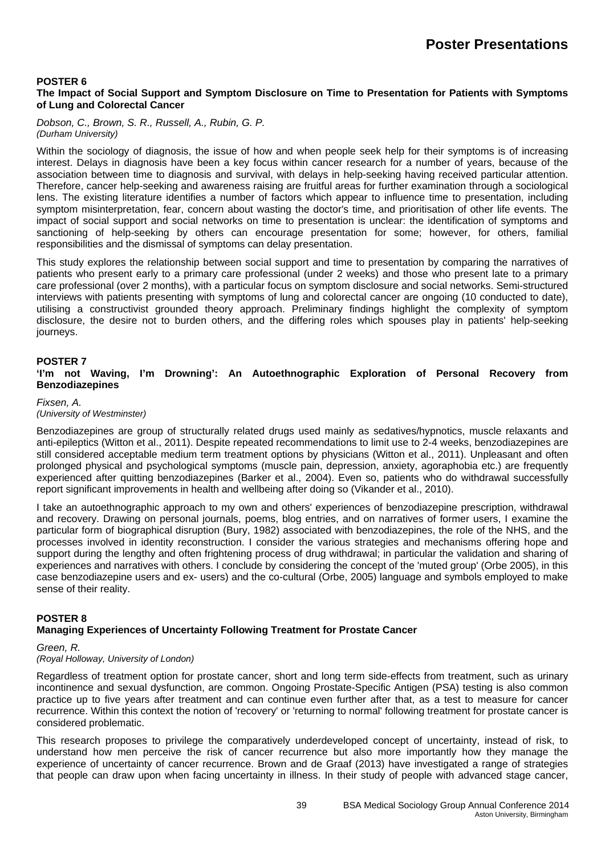#### **POSTER 6**

#### **The Impact of Social Support and Symptom Disclosure on Time to Presentation for Patients with Symptoms of Lung and Colorectal Cancer**

*Dobson, C., Brown, S. R., Russell, A., Rubin, G. P. (Durham University)*

Within the sociology of diagnosis, the issue of how and when people seek help for their symptoms is of increasing interest. Delays in diagnosis have been a key focus within cancer research for a number of years, because of the association between time to diagnosis and survival, with delays in help-seeking having received particular attention. Therefore, cancer help-seeking and awareness raising are fruitful areas for further examination through a sociological lens. The existing literature identifies a number of factors which appear to influence time to presentation, including symptom misinterpretation, fear, concern about wasting the doctor's time, and prioritisation of other life events. The impact of social support and social networks on time to presentation is unclear: the identification of symptoms and sanctioning of help-seeking by others can encourage presentation for some; however, for others, familial responsibilities and the dismissal of symptoms can delay presentation.

This study explores the relationship between social support and time to presentation by comparing the narratives of patients who present early to a primary care professional (under 2 weeks) and those who present late to a primary care professional (over 2 months), with a particular focus on symptom disclosure and social networks. Semi-structured interviews with patients presenting with symptoms of lung and colorectal cancer are ongoing (10 conducted to date), utilising a constructivist grounded theory approach. Preliminary findings highlight the complexity of symptom disclosure, the desire not to burden others, and the differing roles which spouses play in patients' help-seeking journeys.

#### **POSTER 7**

**'I'm not Waving, I'm Drowning': An Autoethnographic Exploration of Personal Recovery from Benzodiazepines** 

#### *Fixsen, A.*

*(University of Westminster)* 

Benzodiazepines are group of structurally related drugs used mainly as sedatives/hypnotics, muscle relaxants and anti-epileptics (Witton et al., 2011). Despite repeated recommendations to limit use to 2-4 weeks, benzodiazepines are still considered acceptable medium term treatment options by physicians (Witton et al., 2011). Unpleasant and often prolonged physical and psychological symptoms (muscle pain, depression, anxiety, agoraphobia etc.) are frequently experienced after quitting benzodiazepines (Barker et al., 2004). Even so, patients who do withdrawal successfully report significant improvements in health and wellbeing after doing so (Vikander et al., 2010).

I take an autoethnographic approach to my own and others' experiences of benzodiazepine prescription, withdrawal and recovery. Drawing on personal journals, poems, blog entries, and on narratives of former users, I examine the particular form of biographical disruption (Bury, 1982) associated with benzodiazepines, the role of the NHS, and the processes involved in identity reconstruction. I consider the various strategies and mechanisms offering hope and support during the lengthy and often frightening process of drug withdrawal; in particular the validation and sharing of experiences and narratives with others. I conclude by considering the concept of the 'muted group' (Orbe 2005), in this case benzodiazepine users and ex- users) and the co-cultural (Orbe, 2005) language and symbols employed to make sense of their reality.

#### **POSTER 8 Managing Experiences of Uncertainty Following Treatment for Prostate Cancer**

#### *Green, R.*

#### *(Royal Holloway, University of London)*

Regardless of treatment option for prostate cancer, short and long term side-effects from treatment, such as urinary incontinence and sexual dysfunction, are common. Ongoing Prostate-Specific Antigen (PSA) testing is also common practice up to five years after treatment and can continue even further after that, as a test to measure for cancer recurrence. Within this context the notion of 'recovery' or 'returning to normal' following treatment for prostate cancer is considered problematic.

This research proposes to privilege the comparatively underdeveloped concept of uncertainty, instead of risk, to understand how men perceive the risk of cancer recurrence but also more importantly how they manage the experience of uncertainty of cancer recurrence. Brown and de Graaf (2013) have investigated a range of strategies that people can draw upon when facing uncertainty in illness. In their study of people with advanced stage cancer,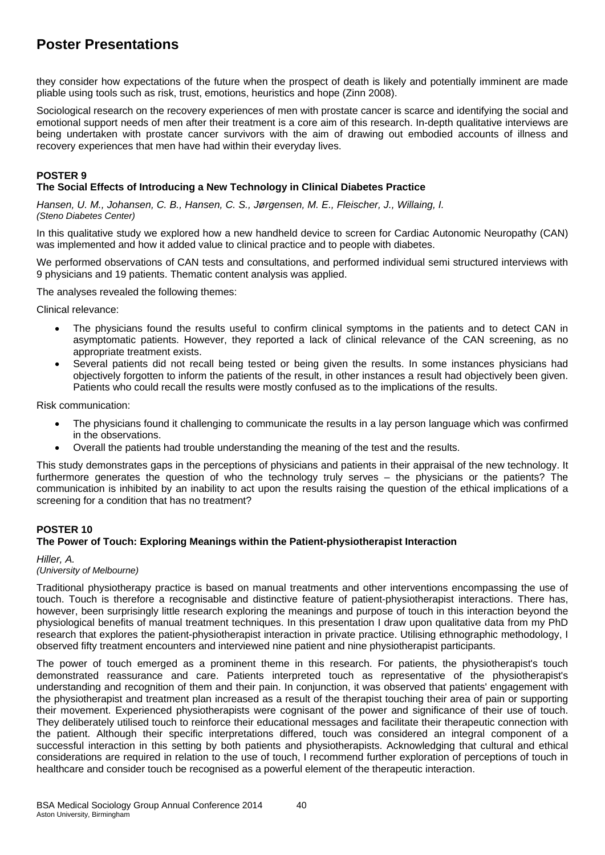they consider how expectations of the future when the prospect of death is likely and potentially imminent are made pliable using tools such as risk, trust, emotions, heuristics and hope (Zinn 2008).

Sociological research on the recovery experiences of men with prostate cancer is scarce and identifying the social and emotional support needs of men after their treatment is a core aim of this research. In-depth qualitative interviews are being undertaken with prostate cancer survivors with the aim of drawing out embodied accounts of illness and recovery experiences that men have had within their everyday lives.

#### **POSTER 9**

#### **The Social Effects of Introducing a New Technology in Clinical Diabetes Practice**

*Hansen, U. M., Johansen, C. B., Hansen, C. S., Jørgensen, M. E., Fleischer, J., Willaing, I. (Steno Diabetes Center)* 

In this qualitative study we explored how a new handheld device to screen for Cardiac Autonomic Neuropathy (CAN) was implemented and how it added value to clinical practice and to people with diabetes.

We performed observations of CAN tests and consultations, and performed individual semi structured interviews with 9 physicians and 19 patients. Thematic content analysis was applied.

The analyses revealed the following themes:

Clinical relevance:

- The physicians found the results useful to confirm clinical symptoms in the patients and to detect CAN in asymptomatic patients. However, they reported a lack of clinical relevance of the CAN screening, as no appropriate treatment exists.
- Several patients did not recall being tested or being given the results. In some instances physicians had objectively forgotten to inform the patients of the result, in other instances a result had objectively been given. Patients who could recall the results were mostly confused as to the implications of the results.

Risk communication:

- The physicians found it challenging to communicate the results in a lay person language which was confirmed in the observations.
- Overall the patients had trouble understanding the meaning of the test and the results.

This study demonstrates gaps in the perceptions of physicians and patients in their appraisal of the new technology. It furthermore generates the question of who the technology truly serves – the physicians or the patients? The communication is inhibited by an inability to act upon the results raising the question of the ethical implications of a screening for a condition that has no treatment?

#### **POSTER 10**

#### **The Power of Touch: Exploring Meanings within the Patient-physiotherapist Interaction**

*Hiller, A.* 

#### *(University of Melbourne)*

Traditional physiotherapy practice is based on manual treatments and other interventions encompassing the use of touch. Touch is therefore a recognisable and distinctive feature of patient-physiotherapist interactions. There has, however, been surprisingly little research exploring the meanings and purpose of touch in this interaction beyond the physiological benefits of manual treatment techniques. In this presentation I draw upon qualitative data from my PhD research that explores the patient-physiotherapist interaction in private practice. Utilising ethnographic methodology, I observed fifty treatment encounters and interviewed nine patient and nine physiotherapist participants.

The power of touch emerged as a prominent theme in this research. For patients, the physiotherapist's touch demonstrated reassurance and care. Patients interpreted touch as representative of the physiotherapist's understanding and recognition of them and their pain. In conjunction, it was observed that patients' engagement with the physiotherapist and treatment plan increased as a result of the therapist touching their area of pain or supporting their movement. Experienced physiotherapists were cognisant of the power and significance of their use of touch. They deliberately utilised touch to reinforce their educational messages and facilitate their therapeutic connection with the patient. Although their specific interpretations differed, touch was considered an integral component of a successful interaction in this setting by both patients and physiotherapists. Acknowledging that cultural and ethical considerations are required in relation to the use of touch, I recommend further exploration of perceptions of touch in healthcare and consider touch be recognised as a powerful element of the therapeutic interaction.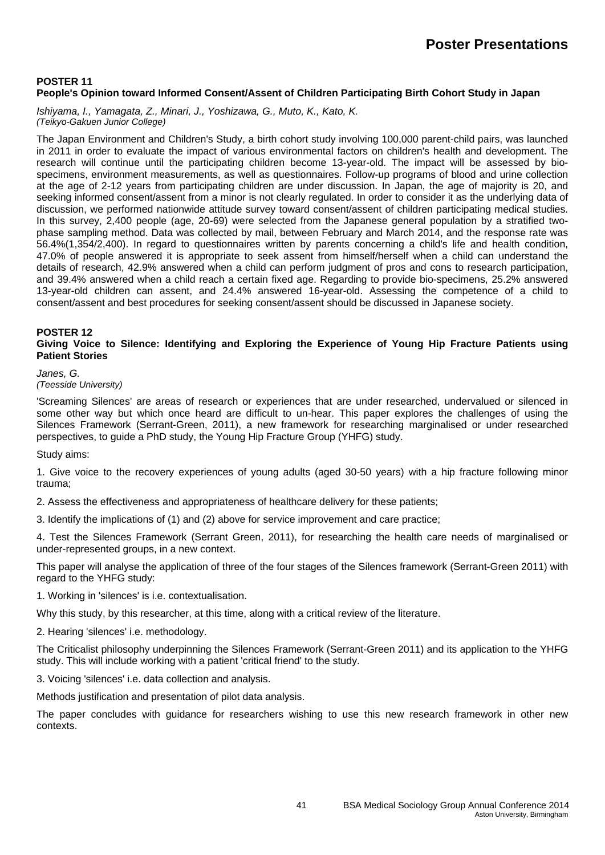#### **POSTER 11 People's Opinion toward Informed Consent/Assent of Children Participating Birth Cohort Study in Japan**

*Ishiyama, I., Yamagata, Z., Minari, J., Yoshizawa, G., Muto, K., Kato, K. (Teikyo-Gakuen Junior College)* 

The Japan Environment and Children's Study, a birth cohort study involving 100,000 parent-child pairs, was launched in 2011 in order to evaluate the impact of various environmental factors on children's health and development. The research will continue until the participating children become 13-year-old. The impact will be assessed by biospecimens, environment measurements, as well as questionnaires. Follow-up programs of blood and urine collection at the age of 2-12 years from participating children are under discussion. In Japan, the age of majority is 20, and seeking informed consent/assent from a minor is not clearly regulated. In order to consider it as the underlying data of discussion, we performed nationwide attitude survey toward consent/assent of children participating medical studies. In this survey, 2,400 people (age, 20-69) were selected from the Japanese general population by a stratified twophase sampling method. Data was collected by mail, between February and March 2014, and the response rate was 56.4%(1,354/2,400). In regard to questionnaires written by parents concerning a child's life and health condition, 47.0% of people answered it is appropriate to seek assent from himself/herself when a child can understand the details of research, 42.9% answered when a child can perform judgment of pros and cons to research participation, and 39.4% answered when a child reach a certain fixed age. Regarding to provide bio-specimens, 25.2% answered 13-year-old children can assent, and 24.4% answered 16-year-old. Assessing the competence of a child to consent/assent and best procedures for seeking consent/assent should be discussed in Japanese society.

#### **POSTER 12**

#### **Giving Voice to Silence: Identifying and Exploring the Experience of Young Hip Fracture Patients using Patient Stories**

*Janes, G. (Teesside University)* 

'Screaming Silences' are areas of research or experiences that are under researched, undervalued or silenced in some other way but which once heard are difficult to un-hear. This paper explores the challenges of using the Silences Framework (Serrant-Green, 2011), a new framework for researching marginalised or under researched perspectives, to guide a PhD study, the Young Hip Fracture Group (YHFG) study.

#### Study aims:

1. Give voice to the recovery experiences of young adults (aged 30-50 years) with a hip fracture following minor trauma;

2. Assess the effectiveness and appropriateness of healthcare delivery for these patients;

3. Identify the implications of (1) and (2) above for service improvement and care practice;

4. Test the Silences Framework (Serrant Green, 2011), for researching the health care needs of marginalised or under-represented groups, in a new context.

This paper will analyse the application of three of the four stages of the Silences framework (Serrant-Green 2011) with regard to the YHFG study:

1. Working in 'silences' is i.e. contextualisation.

Why this study, by this researcher, at this time, along with a critical review of the literature.

2. Hearing 'silences' i.e. methodology.

The Criticalist philosophy underpinning the Silences Framework (Serrant-Green 2011) and its application to the YHFG study. This will include working with a patient 'critical friend' to the study.

3. Voicing 'silences' i.e. data collection and analysis.

Methods justification and presentation of pilot data analysis.

The paper concludes with guidance for researchers wishing to use this new research framework in other new contexts.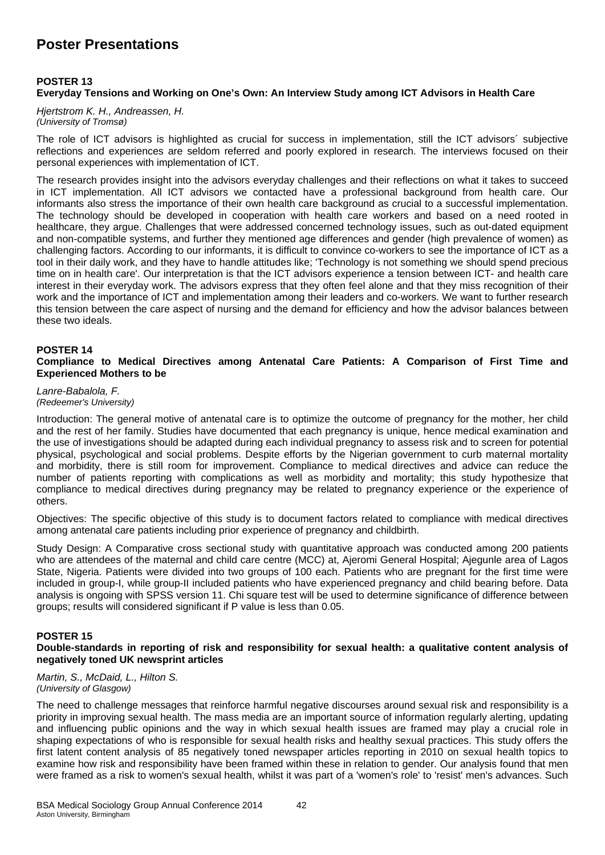#### **POSTER 13 Everyday Tensions and Working on One's Own: An Interview Study among ICT Advisors in Health Care**

*Hjertstrom K. H., Andreassen, H. (University of Tromsø)* 

The role of ICT advisors is highlighted as crucial for success in implementation, still the ICT advisors´ subjective reflections and experiences are seldom referred and poorly explored in research. The interviews focused on their personal experiences with implementation of ICT.

The research provides insight into the advisors everyday challenges and their reflections on what it takes to succeed in ICT implementation. All ICT advisors we contacted have a professional background from health care. Our informants also stress the importance of their own health care background as crucial to a successful implementation. The technology should be developed in cooperation with health care workers and based on a need rooted in healthcare, they argue. Challenges that were addressed concerned technology issues, such as out-dated equipment and non-compatible systems, and further they mentioned age differences and gender (high prevalence of women) as challenging factors. According to our informants, it is difficult to convince co-workers to see the importance of ICT as a tool in their daily work, and they have to handle attitudes like; 'Technology is not something we should spend precious time on in health care'. Our interpretation is that the ICT advisors experience a tension between ICT- and health care interest in their everyday work. The advisors express that they often feel alone and that they miss recognition of their work and the importance of ICT and implementation among their leaders and co-workers. We want to further research this tension between the care aspect of nursing and the demand for efficiency and how the advisor balances between these two ideals.

#### **POSTER 14**

**Compliance to Medical Directives among Antenatal Care Patients: A Comparison of First Time and Experienced Mothers to be** 

*Lanre-Babalola, F. (Redeemer's University)* 

Introduction: The general motive of antenatal care is to optimize the outcome of pregnancy for the mother, her child and the rest of her family. Studies have documented that each pregnancy is unique, hence medical examination and the use of investigations should be adapted during each individual pregnancy to assess risk and to screen for potential physical, psychological and social problems. Despite efforts by the Nigerian government to curb maternal mortality and morbidity, there is still room for improvement. Compliance to medical directives and advice can reduce the number of patients reporting with complications as well as morbidity and mortality; this study hypothesize that compliance to medical directives during pregnancy may be related to pregnancy experience or the experience of others.

Objectives: The specific objective of this study is to document factors related to compliance with medical directives among antenatal care patients including prior experience of pregnancy and childbirth.

Study Design: A Comparative cross sectional study with quantitative approach was conducted among 200 patients who are attendees of the maternal and child care centre (MCC) at, Ajeromi General Hospital; Ajegunle area of Lagos State, Nigeria. Patients were divided into two groups of 100 each. Patients who are pregnant for the first time were included in group-I, while group-II included patients who have experienced pregnancy and child bearing before. Data analysis is ongoing with SPSS version 11. Chi square test will be used to determine significance of difference between groups; results will considered significant if P value is less than 0.05.

#### **POSTER 15**

#### **Double-standards in reporting of risk and responsibility for sexual health: a qualitative content analysis of negatively toned UK newsprint articles**

*Martin, S., McDaid, L., Hilton S. (University of Glasgow)* 

The need to challenge messages that reinforce harmful negative discourses around sexual risk and responsibility is a priority in improving sexual health. The mass media are an important source of information regularly alerting, updating and influencing public opinions and the way in which sexual health issues are framed may play a crucial role in shaping expectations of who is responsible for sexual health risks and healthy sexual practices. This study offers the first latent content analysis of 85 negatively toned newspaper articles reporting in 2010 on sexual health topics to examine how risk and responsibility have been framed within these in relation to gender. Our analysis found that men were framed as a risk to women's sexual health, whilst it was part of a 'women's role' to 'resist' men's advances. Such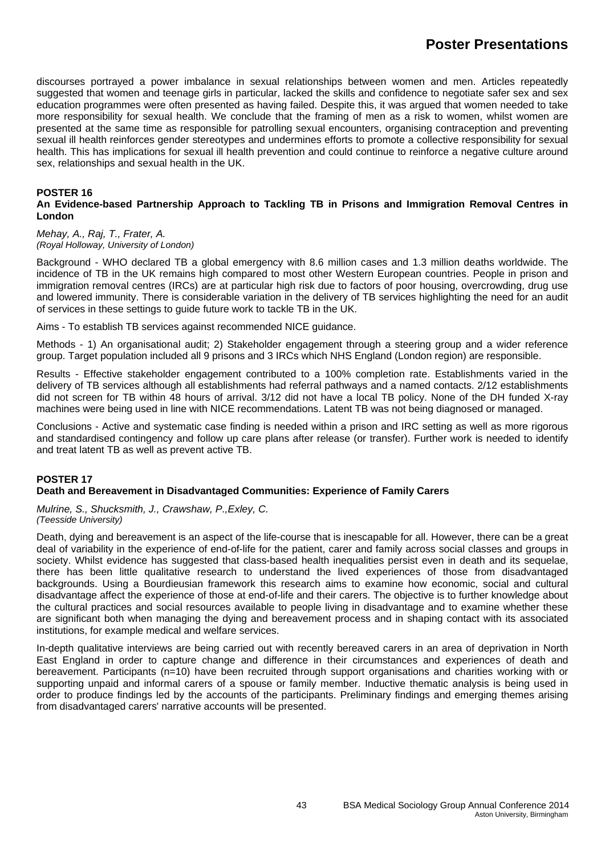discourses portrayed a power imbalance in sexual relationships between women and men. Articles repeatedly suggested that women and teenage girls in particular, lacked the skills and confidence to negotiate safer sex and sex education programmes were often presented as having failed. Despite this, it was argued that women needed to take more responsibility for sexual health. We conclude that the framing of men as a risk to women, whilst women are presented at the same time as responsible for patrolling sexual encounters, organising contraception and preventing sexual ill health reinforces gender stereotypes and undermines efforts to promote a collective responsibility for sexual health. This has implications for sexual ill health prevention and could continue to reinforce a negative culture around sex, relationships and sexual health in the UK.

#### **POSTER 16**

#### **An Evidence-based Partnership Approach to Tackling TB in Prisons and Immigration Removal Centres in London**

*Mehay, A., Raj, T., Frater, A. (Royal Holloway, University of London)* 

Background - WHO declared TB a global emergency with 8.6 million cases and 1.3 million deaths worldwide. The incidence of TB in the UK remains high compared to most other Western European countries. People in prison and immigration removal centres (IRCs) are at particular high risk due to factors of poor housing, overcrowding, drug use and lowered immunity. There is considerable variation in the delivery of TB services highlighting the need for an audit of services in these settings to guide future work to tackle TB in the UK.

Aims - To establish TB services against recommended NICE guidance.

Methods - 1) An organisational audit; 2) Stakeholder engagement through a steering group and a wider reference group. Target population included all 9 prisons and 3 IRCs which NHS England (London region) are responsible.

Results - Effective stakeholder engagement contributed to a 100% completion rate. Establishments varied in the delivery of TB services although all establishments had referral pathways and a named contacts. 2/12 establishments did not screen for TB within 48 hours of arrival. 3/12 did not have a local TB policy. None of the DH funded X-ray machines were being used in line with NICE recommendations. Latent TB was not being diagnosed or managed.

Conclusions - Active and systematic case finding is needed within a prison and IRC setting as well as more rigorous and standardised contingency and follow up care plans after release (or transfer). Further work is needed to identify and treat latent TB as well as prevent active TB.

#### **POSTER 17**

#### **Death and Bereavement in Disadvantaged Communities: Experience of Family Carers**

*Mulrine, S., Shucksmith, J., Crawshaw, P.,Exley, C. (Teesside University)* 

Death, dying and bereavement is an aspect of the life-course that is inescapable for all. However, there can be a great deal of variability in the experience of end-of-life for the patient, carer and family across social classes and groups in society. Whilst evidence has suggested that class-based health inequalities persist even in death and its sequelae, there has been little qualitative research to understand the lived experiences of those from disadvantaged backgrounds. Using a Bourdieusian framework this research aims to examine how economic, social and cultural disadvantage affect the experience of those at end-of-life and their carers. The objective is to further knowledge about the cultural practices and social resources available to people living in disadvantage and to examine whether these are significant both when managing the dying and bereavement process and in shaping contact with its associated institutions, for example medical and welfare services.

In-depth qualitative interviews are being carried out with recently bereaved carers in an area of deprivation in North East England in order to capture change and difference in their circumstances and experiences of death and bereavement. Participants (n=10) have been recruited through support organisations and charities working with or supporting unpaid and informal carers of a spouse or family member. Inductive thematic analysis is being used in order to produce findings led by the accounts of the participants. Preliminary findings and emerging themes arising from disadvantaged carers' narrative accounts will be presented.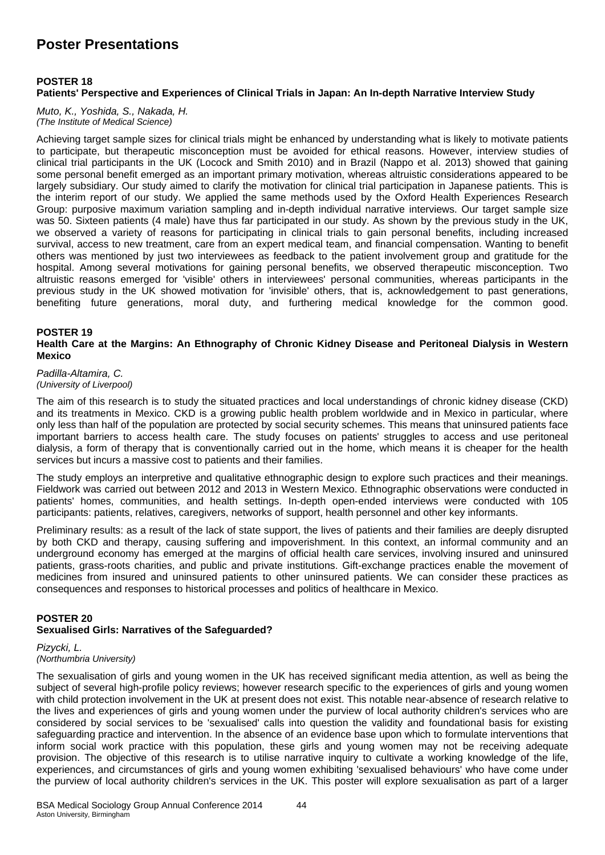#### **POSTER 18**

#### **Patients' Perspective and Experiences of Clinical Trials in Japan: An In-depth Narrative Interview Study**

*Muto, K., Yoshida, S., Nakada, H. (The Institute of Medical Science)* 

Achieving target sample sizes for clinical trials might be enhanced by understanding what is likely to motivate patients to participate, but therapeutic misconception must be avoided for ethical reasons. However, interview studies of clinical trial participants in the UK (Locock and Smith 2010) and in Brazil (Nappo et al. 2013) showed that gaining some personal benefit emerged as an important primary motivation, whereas altruistic considerations appeared to be largely subsidiary. Our study aimed to clarify the motivation for clinical trial participation in Japanese patients. This is the interim report of our study. We applied the same methods used by the Oxford Health Experiences Research Group: purposive maximum variation sampling and in-depth individual narrative interviews. Our target sample size was 50. Sixteen patients (4 male) have thus far participated in our study. As shown by the previous study in the UK, we observed a variety of reasons for participating in clinical trials to gain personal benefits, including increased survival, access to new treatment, care from an expert medical team, and financial compensation. Wanting to benefit others was mentioned by just two interviewees as feedback to the patient involvement group and gratitude for the hospital. Among several motivations for gaining personal benefits, we observed therapeutic misconception. Two altruistic reasons emerged for 'visible' others in interviewees' personal communities, whereas participants in the previous study in the UK showed motivation for 'invisible' others, that is, acknowledgement to past generations, benefiting future generations, moral duty, and furthering medical knowledge for the common good.

#### **POSTER 19**

**Health Care at the Margins: An Ethnography of Chronic Kidney Disease and Peritoneal Dialysis in Western Mexico** 

#### *Padilla-Altamira, C. (University of Liverpool)*

The aim of this research is to study the situated practices and local understandings of chronic kidney disease (CKD) and its treatments in Mexico. CKD is a growing public health problem worldwide and in Mexico in particular, where only less than half of the population are protected by social security schemes. This means that uninsured patients face important barriers to access health care. The study focuses on patients' struggles to access and use peritoneal dialysis, a form of therapy that is conventionally carried out in the home, which means it is cheaper for the health services but incurs a massive cost to patients and their families.

The study employs an interpretive and qualitative ethnographic design to explore such practices and their meanings. Fieldwork was carried out between 2012 and 2013 in Western Mexico. Ethnographic observations were conducted in patients' homes, communities, and health settings. In-depth open-ended interviews were conducted with 105 participants: patients, relatives, caregivers, networks of support, health personnel and other key informants.

Preliminary results: as a result of the lack of state support, the lives of patients and their families are deeply disrupted by both CKD and therapy, causing suffering and impoverishment. In this context, an informal community and an underground economy has emerged at the margins of official health care services, involving insured and uninsured patients, grass-roots charities, and public and private institutions. Gift-exchange practices enable the movement of medicines from insured and uninsured patients to other uninsured patients. We can consider these practices as consequences and responses to historical processes and politics of healthcare in Mexico.

#### **POSTER 20 Sexualised Girls: Narratives of the Safeguarded?**

#### *Pizycki, L. (Northumbria University)*

The sexualisation of girls and young women in the UK has received significant media attention, as well as being the subject of several high-profile policy reviews; however research specific to the experiences of girls and young women with child protection involvement in the UK at present does not exist. This notable near-absence of research relative to the lives and experiences of girls and young women under the purview of local authority children's services who are considered by social services to be 'sexualised' calls into question the validity and foundational basis for existing safeguarding practice and intervention. In the absence of an evidence base upon which to formulate interventions that inform social work practice with this population, these girls and young women may not be receiving adequate provision. The objective of this research is to utilise narrative inquiry to cultivate a working knowledge of the life, experiences, and circumstances of girls and young women exhibiting 'sexualised behaviours' who have come under the purview of local authority children's services in the UK. This poster will explore sexualisation as part of a larger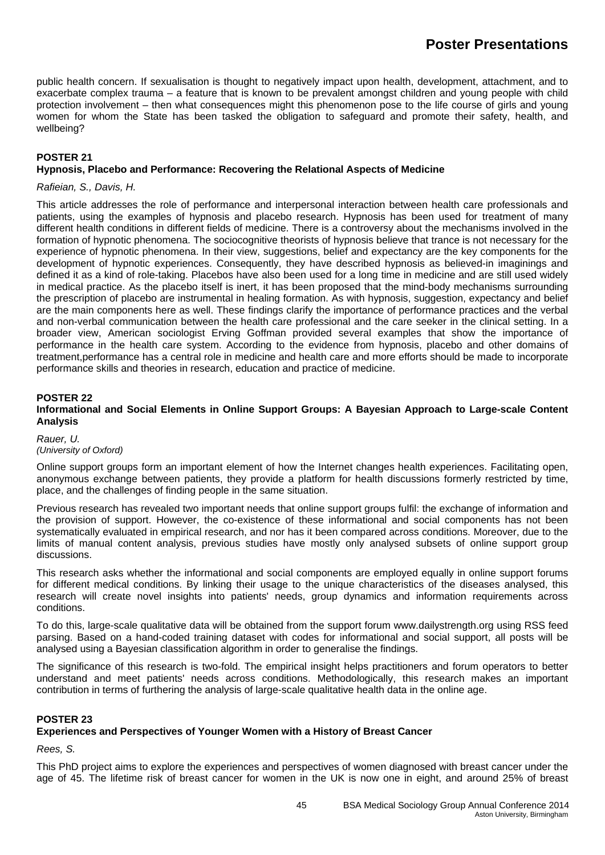public health concern. If sexualisation is thought to negatively impact upon health, development, attachment, and to exacerbate complex trauma – a feature that is known to be prevalent amongst children and young people with child protection involvement – then what consequences might this phenomenon pose to the life course of girls and young women for whom the State has been tasked the obligation to safeguard and promote their safety, health, and wellbeing?

#### **POSTER 21**

#### **Hypnosis, Placebo and Performance: Recovering the Relational Aspects of Medicine**

#### *Rafieian, S., Davis, H.*

This article addresses the role of performance and interpersonal interaction between health care professionals and patients, using the examples of hypnosis and placebo research. Hypnosis has been used for treatment of many different health conditions in different fields of medicine. There is a controversy about the mechanisms involved in the formation of hypnotic phenomena. The sociocognitive theorists of hypnosis believe that trance is not necessary for the experience of hypnotic phenomena. In their view, suggestions, belief and expectancy are the key components for the development of hypnotic experiences. Consequently, they have described hypnosis as believed-in imaginings and defined it as a kind of role-taking. Placebos have also been used for a long time in medicine and are still used widely in medical practice. As the placebo itself is inert, it has been proposed that the mind-body mechanisms surrounding the prescription of placebo are instrumental in healing formation. As with hypnosis, suggestion, expectancy and belief are the main components here as well. These findings clarify the importance of performance practices and the verbal and non-verbal communication between the health care professional and the care seeker in the clinical setting. In a broader view, American sociologist Erving Goffman provided several examples that show the importance of performance in the health care system. According to the evidence from hypnosis, placebo and other domains of treatment,performance has a central role in medicine and health care and more efforts should be made to incorporate performance skills and theories in research, education and practice of medicine.

#### **POSTER 22**

#### **Informational and Social Elements in Online Support Groups: A Bayesian Approach to Large-scale Content Analysis**

#### *Rauer, U. (University of Oxford)*

Online support groups form an important element of how the Internet changes health experiences. Facilitating open, anonymous exchange between patients, they provide a platform for health discussions formerly restricted by time, place, and the challenges of finding people in the same situation.

Previous research has revealed two important needs that online support groups fulfil: the exchange of information and the provision of support. However, the co-existence of these informational and social components has not been systematically evaluated in empirical research, and nor has it been compared across conditions. Moreover, due to the limits of manual content analysis, previous studies have mostly only analysed subsets of online support group discussions.

This research asks whether the informational and social components are employed equally in online support forums for different medical conditions. By linking their usage to the unique characteristics of the diseases analysed, this research will create novel insights into patients' needs, group dynamics and information requirements across conditions.

To do this, large-scale qualitative data will be obtained from the support forum www.dailystrength.org using RSS feed parsing. Based on a hand-coded training dataset with codes for informational and social support, all posts will be analysed using a Bayesian classification algorithm in order to generalise the findings.

The significance of this research is two-fold. The empirical insight helps practitioners and forum operators to better understand and meet patients' needs across conditions. Methodologically, this research makes an important contribution in terms of furthering the analysis of large-scale qualitative health data in the online age.

#### **POSTER 23**

#### **Experiences and Perspectives of Younger Women with a History of Breast Cancer**

*Rees, S.*

This PhD project aims to explore the experiences and perspectives of women diagnosed with breast cancer under the age of 45. The lifetime risk of breast cancer for women in the UK is now one in eight, and around 25% of breast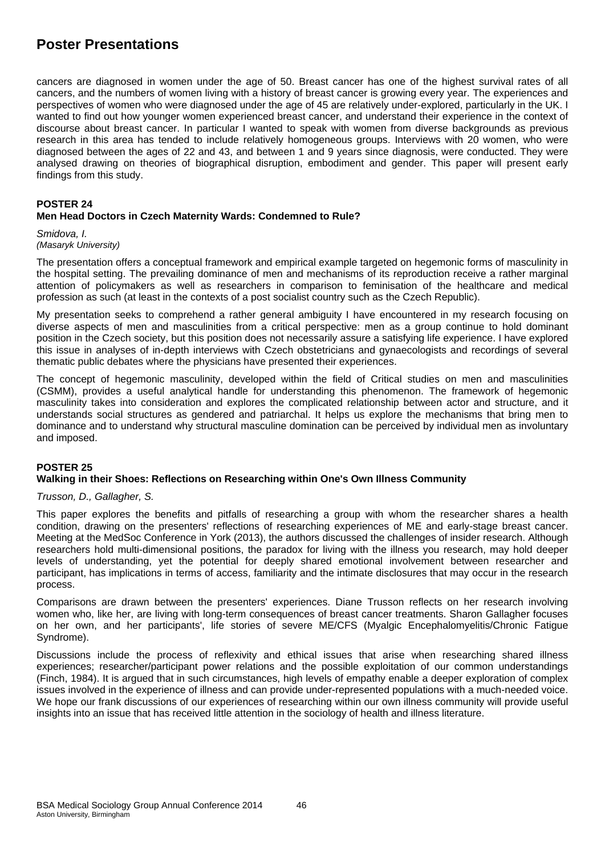cancers are diagnosed in women under the age of 50. Breast cancer has one of the highest survival rates of all cancers, and the numbers of women living with a history of breast cancer is growing every year. The experiences and perspectives of women who were diagnosed under the age of 45 are relatively under-explored, particularly in the UK. I wanted to find out how younger women experienced breast cancer, and understand their experience in the context of discourse about breast cancer. In particular I wanted to speak with women from diverse backgrounds as previous research in this area has tended to include relatively homogeneous groups. Interviews with 20 women, who were diagnosed between the ages of 22 and 43, and between 1 and 9 years since diagnosis, were conducted. They were analysed drawing on theories of biographical disruption, embodiment and gender. This paper will present early findings from this study.

#### **POSTER 24**

#### **Men Head Doctors in Czech Maternity Wards: Condemned to Rule?**

*Smidova, I. (Masaryk University)* 

The presentation offers a conceptual framework and empirical example targeted on hegemonic forms of masculinity in the hospital setting. The prevailing dominance of men and mechanisms of its reproduction receive a rather marginal attention of policymakers as well as researchers in comparison to feminisation of the healthcare and medical profession as such (at least in the contexts of a post socialist country such as the Czech Republic).

My presentation seeks to comprehend a rather general ambiguity I have encountered in my research focusing on diverse aspects of men and masculinities from a critical perspective: men as a group continue to hold dominant position in the Czech society, but this position does not necessarily assure a satisfying life experience. I have explored this issue in analyses of in-depth interviews with Czech obstetricians and gynaecologists and recordings of several thematic public debates where the physicians have presented their experiences.

The concept of hegemonic masculinity, developed within the field of Critical studies on men and masculinities (CSMM), provides a useful analytical handle for understanding this phenomenon. The framework of hegemonic masculinity takes into consideration and explores the complicated relationship between actor and structure, and it understands social structures as gendered and patriarchal. It helps us explore the mechanisms that bring men to dominance and to understand why structural masculine domination can be perceived by individual men as involuntary and imposed.

#### **POSTER 25**

#### **Walking in their Shoes: Reflections on Researching within One's Own Illness Community**

#### *Trusson, D., Gallagher, S.*

This paper explores the benefits and pitfalls of researching a group with whom the researcher shares a health condition, drawing on the presenters' reflections of researching experiences of ME and early-stage breast cancer. Meeting at the MedSoc Conference in York (2013), the authors discussed the challenges of insider research. Although researchers hold multi-dimensional positions, the paradox for living with the illness you research, may hold deeper levels of understanding, yet the potential for deeply shared emotional involvement between researcher and participant, has implications in terms of access, familiarity and the intimate disclosures that may occur in the research process.

Comparisons are drawn between the presenters' experiences. Diane Trusson reflects on her research involving women who, like her, are living with long-term consequences of breast cancer treatments. Sharon Gallagher focuses on her own, and her participants', life stories of severe ME/CFS (Myalgic Encephalomyelitis/Chronic Fatigue Syndrome).

Discussions include the process of reflexivity and ethical issues that arise when researching shared illness experiences; researcher/participant power relations and the possible exploitation of our common understandings (Finch, 1984). It is argued that in such circumstances, high levels of empathy enable a deeper exploration of complex issues involved in the experience of illness and can provide under-represented populations with a much-needed voice. We hope our frank discussions of our experiences of researching within our own illness community will provide useful insights into an issue that has received little attention in the sociology of health and illness literature.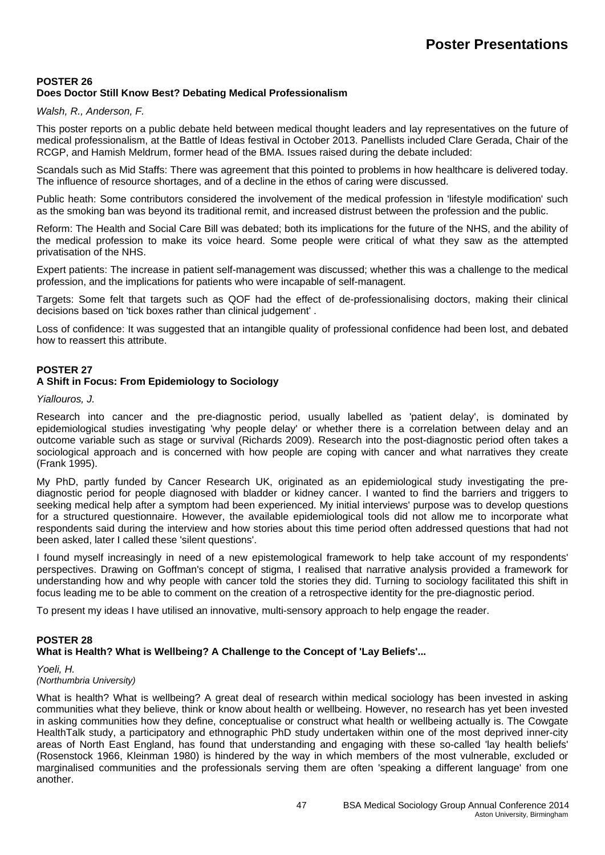#### **POSTER 26 Does Doctor Still Know Best? Debating Medical Professionalism**

#### *Walsh, R., Anderson, F.*

This poster reports on a public debate held between medical thought leaders and lay representatives on the future of medical professionalism, at the Battle of Ideas festival in October 2013. Panellists included Clare Gerada, Chair of the RCGP, and Hamish Meldrum, former head of the BMA. Issues raised during the debate included:

Scandals such as Mid Staffs: There was agreement that this pointed to problems in how healthcare is delivered today. The influence of resource shortages, and of a decline in the ethos of caring were discussed.

Public heath: Some contributors considered the involvement of the medical profession in 'lifestyle modification' such as the smoking ban was beyond its traditional remit, and increased distrust between the profession and the public.

Reform: The Health and Social Care Bill was debated; both its implications for the future of the NHS, and the ability of the medical profession to make its voice heard. Some people were critical of what they saw as the attempted privatisation of the NHS.

Expert patients: The increase in patient self-management was discussed; whether this was a challenge to the medical profession, and the implications for patients who were incapable of self-managent.

Targets: Some felt that targets such as QOF had the effect of de-professionalising doctors, making their clinical decisions based on 'tick boxes rather than clinical judgement' .

Loss of confidence: It was suggested that an intangible quality of professional confidence had been lost, and debated how to reassert this attribute.

#### **POSTER 27**

#### **A Shift in Focus: From Epidemiology to Sociology**

*Yiallouros, J.*

Research into cancer and the pre-diagnostic period, usually labelled as 'patient delay', is dominated by epidemiological studies investigating 'why people delay' or whether there is a correlation between delay and an outcome variable such as stage or survival (Richards 2009). Research into the post-diagnostic period often takes a sociological approach and is concerned with how people are coping with cancer and what narratives they create (Frank 1995).

My PhD, partly funded by Cancer Research UK, originated as an epidemiological study investigating the prediagnostic period for people diagnosed with bladder or kidney cancer. I wanted to find the barriers and triggers to seeking medical help after a symptom had been experienced. My initial interviews' purpose was to develop questions for a structured questionnaire. However, the available epidemiological tools did not allow me to incorporate what respondents said during the interview and how stories about this time period often addressed questions that had not been asked, later I called these 'silent questions'.

I found myself increasingly in need of a new epistemological framework to help take account of my respondents' perspectives. Drawing on Goffman's concept of stigma, I realised that narrative analysis provided a framework for understanding how and why people with cancer told the stories they did. Turning to sociology facilitated this shift in focus leading me to be able to comment on the creation of a retrospective identity for the pre-diagnostic period.

To present my ideas I have utilised an innovative, multi-sensory approach to help engage the reader.

#### **POSTER 28 What is Health? What is Wellbeing? A Challenge to the Concept of 'Lay Beliefs'...**

*Yoeli, H.* 

*(Northumbria University)* 

What is health? What is wellbeing? A great deal of research within medical sociology has been invested in asking communities what they believe, think or know about health or wellbeing. However, no research has yet been invested in asking communities how they define, conceptualise or construct what health or wellbeing actually is. The Cowgate HealthTalk study, a participatory and ethnographic PhD study undertaken within one of the most deprived inner-city areas of North East England, has found that understanding and engaging with these so-called 'lay health beliefs' (Rosenstock 1966, Kleinman 1980) is hindered by the way in which members of the most vulnerable, excluded or marginalised communities and the professionals serving them are often 'speaking a different language' from one another.